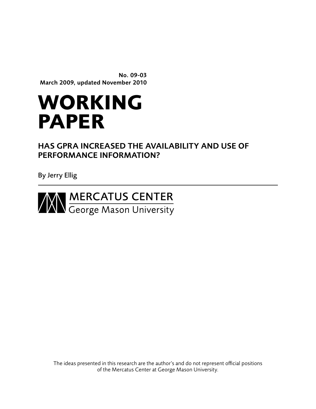No. 09-03 March 2009, updated November 2010

# **working paper**

# Has GPRA Increased the Availability and Use of Performance Information?

By Jerry Ellig



The ideas presented in this research are the author's and do not represent official positions of the Mercatus Center at George Mason University.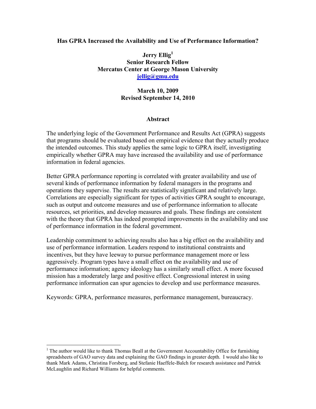# **Has GPRA Increased the Availability and Use of Performance Information?**

**Jerry Ellig<sup>1</sup> Senior Research Fellow Mercatus Center at George Mason University [jellig@gmu.edu](mailto:jellig@gmu.edu)**

# **March 10, 2009 Revised September 14, 2010**

# **Abstract**

The underlying logic of the Government Performance and Results Act (GPRA) suggests that programs should be evaluated based on empirical evidence that they actually produce the intended outcomes. This study applies the same logic to GPRA itself, investigating empirically whether GPRA may have increased the availability and use of performance information in federal agencies.

Better GPRA performance reporting is correlated with greater availability and use of several kinds of performance information by federal managers in the programs and operations they supervise. The results are statistically significant and relatively large. Correlations are especially significant for types of activities GPRA sought to encourage, such as output and outcome measures and use of performance information to allocate resources, set priorities, and develop measures and goals. These findings are consistent with the theory that GPRA has indeed prompted improvements in the availability and use of performance information in the federal government.

Leadership commitment to achieving results also has a big effect on the availability and use of performance information. Leaders respond to institutional constraints and incentives, but they have leeway to pursue performance management more or less aggressively. Program types have a small effect on the availability and use of performance information; agency ideology has a similarly small effect. A more focused mission has a moderately large and positive effect. Congressional interest in using performance information can spur agencies to develop and use performance measures.

Keywords: GPRA, performance measures, performance management, bureaucracy.

 $\overline{a}$ 

 $<sup>1</sup>$  The author would like to thank Thomas Beall at the Government Accountability Office for furnishing</sup> spreadsheets of GAO survey data and explaining the GAO findings in greater depth. I would also like to thank Mark Adams, Christina Forsberg, and Stefanie Haeffele-Balch for research assistance and Patrick McLaughlin and Richard Williams for helpful comments.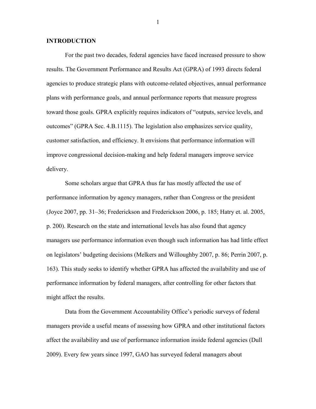#### **INTRODUCTION**

For the past two decades, federal agencies have faced increased pressure to show results. The Government Performance and Results Act (GPRA) of 1993 directs federal agencies to produce strategic plans with outcome-related objectives, annual performance plans with performance goals, and annual performance reports that measure progress toward those goals. GPRA explicitly requires indicators of "outputs, service levels, and outcomes" (GPRA Sec. 4.B.1115). The legislation also emphasizes service quality, customer satisfaction, and efficiency. It envisions that performance information will improve congressional decision-making and help federal managers improve service delivery.

Some scholars argue that GPRA thus far has mostly affected the use of performance information by agency managers, rather than Congress or the president (Joyce 2007, pp. 31–36; Frederickson and Frederickson 2006, p. 185; Hatry et. al. 2005, p. 200). Research on the state and international levels has also found that agency managers use performance information even though such information has had little effect on legislators' budgeting decisions (Melkers and Willoughby 2007, p. 86; Perrin 2007, p. 163). This study seeks to identify whether GPRA has affected the availability and use of performance information by federal managers, after controlling for other factors that might affect the results.

Data from the Government Accountability Office's periodic surveys of federal managers provide a useful means of assessing how GPRA and other institutional factors affect the availability and use of performance information inside federal agencies (Dull 2009). Every few years since 1997, GAO has surveyed federal managers about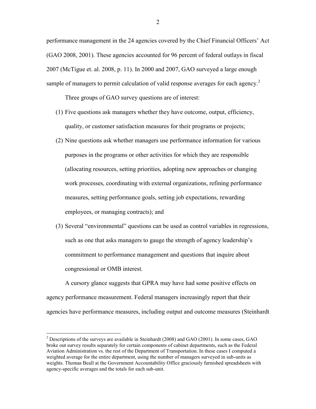performance management in the 24 agencies covered by the Chief Financial Officers' Act (GAO 2008, 2001). These agencies accounted for 96 percent of federal outlays in fiscal 2007 (McTigue et. al. 2008, p. 11). In 2000 and 2007, GAO surveyed a large enough sample of managers to permit calculation of valid response averages for each agency.<sup>2</sup>

Three groups of GAO survey questions are of interest:

- (1) Five questions ask managers whether they have outcome, output, efficiency, quality, or customer satisfaction measures for their programs or projects;
- (2) Nine questions ask whether managers use performance information for various purposes in the programs or other activities for which they are responsible (allocating resources, setting priorities, adopting new approaches or changing work processes, coordinating with external organizations, refining performance measures, setting performance goals, setting job expectations, rewarding employees, or managing contracts); and
- (3) Several "environmental" questions can be used as control variables in regressions, such as one that asks managers to gauge the strength of agency leadership's commitment to performance management and questions that inquire about congressional or OMB interest.

A cursory glance suggests that GPRA may have had some positive effects on agency performance measurement. Federal managers increasingly report that their agencies have performance measures, including output and outcome measures (Steinhardt

 $\overline{a}$ 

<sup>&</sup>lt;sup>2</sup> Descriptions of the surveys are available in Steinhardt (2008) and GAO (2001). In some cases, GAO broke out survey results separately for certain components of cabinet departments, such as the Federal Aviation Administration vs. the rest of the Department of Transportation. In these cases I computed a weighted average for the entire department, using the number of managers surveyed in sub-units as weights. Thomas Beall at the Government Accountability Office graciously furnished spreadsheets with agency-specific averages and the totals for each sub-unit.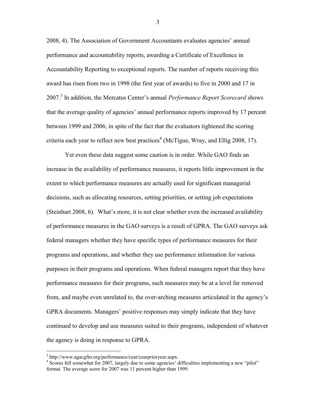2008, 4). The Association of Government Accountants evaluates agencies' annual performance and accountability reports, awarding a Certificate of Excellence in Accountability Reporting to exceptional reports. The number of reports receiving this award has risen from two in 1998 (the first year of awards) to five in 2000 and 17 in 2007.<sup>3</sup> In addition, the Mercatus Center's annual *Performance Report Scorecard* shows that the average quality of agencies' annual performance reports improved by 17 percent between 1999 and 2006, in spite of the fact that the evaluators tightened the scoring criteria each year to reflect new best practices<sup>4</sup> (McTigue, Wray, and Ellig 2008, 17).

Yet even these data suggest some caution is in order. While GAO finds an increase in the availability of performance measures, it reports little improvement in the extent to which performance measures are actually used for significant managerial decisions, such as allocating resources, setting priorities, or setting job expectations (Steinhart 2008, 6). What's more, it is not clear whether even the increased availability of performance measures in the GAO surveys is a result of GPRA. The GAO surveys ask federal managers whether they have specific types of performance measures for their programs and operations, and whether they use performance information for various purposes in their programs and operations. When federal managers report that they have performance measures for their programs, such measures may be at a level far removed from, and maybe even unrelated to, the over-arching measures articulated in the agency's GPRA documents. Managers' positive responses may simply indicate that they have continued to develop and use measures suited to their programs, independent of whatever the agency is doing in response to GPRA.

 $\overline{a}$ 

<sup>&</sup>lt;sup>3</sup> http://www.agacgfm.org/performance/cear/cearprioryear.aspx.

<sup>&</sup>lt;sup>4</sup> Scores fell somewhat for 2007, largely due to some agencies' difficulties implementing a new "pilot" format. The average score for 2007 was 11 percent higher than 1999.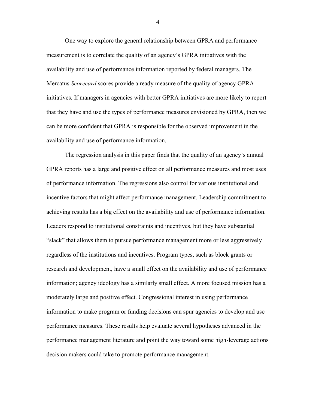One way to explore the general relationship between GPRA and performance measurement is to correlate the quality of an agency's GPRA initiatives with the availability and use of performance information reported by federal managers. The Mercatus *Scorecard* scores provide a ready measure of the quality of agency GPRA initiatives. If managers in agencies with better GPRA initiatives are more likely to report that they have and use the types of performance measures envisioned by GPRA, then we can be more confident that GPRA is responsible for the observed improvement in the availability and use of performance information.

The regression analysis in this paper finds that the quality of an agency's annual GPRA reports has a large and positive effect on all performance measures and most uses of performance information. The regressions also control for various institutional and incentive factors that might affect performance management. Leadership commitment to achieving results has a big effect on the availability and use of performance information. Leaders respond to institutional constraints and incentives, but they have substantial ―slack‖ that allows them to pursue performance management more or less aggressively regardless of the institutions and incentives. Program types, such as block grants or research and development, have a small effect on the availability and use of performance information; agency ideology has a similarly small effect. A more focused mission has a moderately large and positive effect. Congressional interest in using performance information to make program or funding decisions can spur agencies to develop and use performance measures. These results help evaluate several hypotheses advanced in the performance management literature and point the way toward some high-leverage actions decision makers could take to promote performance management.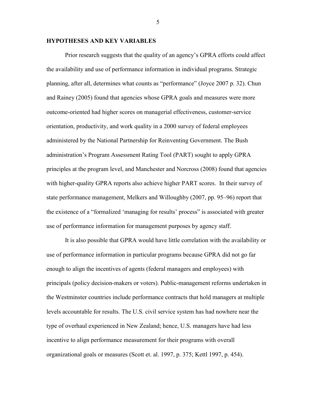# **HYPOTHESES AND KEY VARIABLES**

Prior research suggests that the quality of an agency's GPRA efforts could affect the availability and use of performance information in individual programs. Strategic planning, after all, determines what counts as "performance" (Joyce 2007 p. 32). Chun and Rainey (2005) found that agencies whose GPRA goals and measures were more outcome-oriented had higher scores on managerial effectiveness, customer-service orientation, productivity, and work quality in a 2000 survey of federal employees administered by the National Partnership for Reinventing Government. The Bush administration's Program Assessment Rating Tool (PART) sought to apply GPRA principles at the program level, and Manchester and Norcross (2008) found that agencies with higher-quality GPRA reports also achieve higher PART scores. In their survey of state performance management, Melkers and Willoughby (2007, pp. 95–96) report that the existence of a "formalized 'managing for results' process" is associated with greater use of performance information for management purposes by agency staff.

It is also possible that GPRA would have little correlation with the availability or use of performance information in particular programs because GPRA did not go far enough to align the incentives of agents (federal managers and employees) with principals (policy decision-makers or voters). Public-management reforms undertaken in the Westminster countries include performance contracts that hold managers at multiple levels accountable for results. The U.S. civil service system has had nowhere near the type of overhaul experienced in New Zealand; hence, U.S. managers have had less incentive to align performance measurement for their programs with overall organizational goals or measures (Scott et. al. 1997, p. 375; Kettl 1997, p. 454).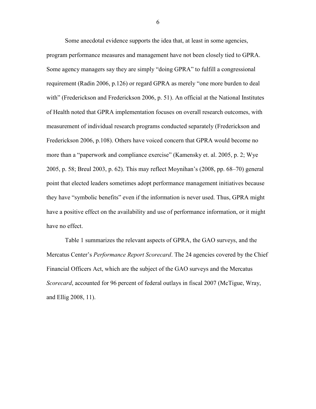Some anecdotal evidence supports the idea that, at least in some agencies, program performance measures and management have not been closely tied to GPRA. Some agency managers say they are simply "doing GPRA" to fulfill a congressional requirement (Radin 2006, p.126) or regard GPRA as merely "one more burden to deal with" (Frederickson and Frederickson 2006, p. 51). An official at the National Institutes of Health noted that GPRA implementation focuses on overall research outcomes, with measurement of individual research programs conducted separately (Frederickson and Frederickson 2006, p.108). Others have voiced concern that GPRA would become no more than a "paperwork and compliance exercise" (Kamensky et. al. 2005, p. 2; Wye 2005, p. 58; Breul 2003, p. 62). This may reflect Moynihan's (2008, pp. 68–70) general point that elected leaders sometimes adopt performance management initiatives because they have "symbolic benefits" even if the information is never used. Thus, GPRA might have a positive effect on the availability and use of performance information, or it might have no effect.

Table 1 summarizes the relevant aspects of GPRA, the GAO surveys, and the Mercatus Center's *Performance Report Scorecard*. The 24 agencies covered by the Chief Financial Officers Act, which are the subject of the GAO surveys and the Mercatus *Scorecard*, accounted for 96 percent of federal outlays in fiscal 2007 (McTigue, Wray, and Ellig 2008, 11).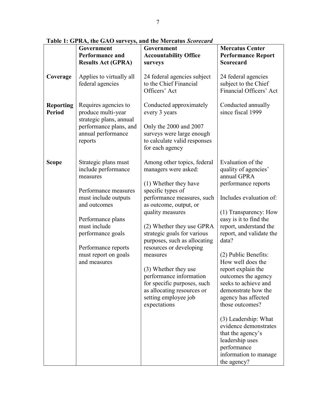|                                   | Government<br>Performance and<br><b>Results Act (GPRA)</b>                                                                                                                                                                                       | Government<br><b>Accountability Office</b><br>surveys                                                                                                                                                                                                                                                                                                                                                                                                                    | <b>Mercatus Center</b><br><b>Performance Report</b><br>Scorecard                                                                                                                                                                                                                                                                                                                                                                                                                                                                                                |
|-----------------------------------|--------------------------------------------------------------------------------------------------------------------------------------------------------------------------------------------------------------------------------------------------|--------------------------------------------------------------------------------------------------------------------------------------------------------------------------------------------------------------------------------------------------------------------------------------------------------------------------------------------------------------------------------------------------------------------------------------------------------------------------|-----------------------------------------------------------------------------------------------------------------------------------------------------------------------------------------------------------------------------------------------------------------------------------------------------------------------------------------------------------------------------------------------------------------------------------------------------------------------------------------------------------------------------------------------------------------|
| Coverage                          | Applies to virtually all<br>federal agencies                                                                                                                                                                                                     | 24 federal agencies subject<br>to the Chief Financial<br>Officers' Act                                                                                                                                                                                                                                                                                                                                                                                                   | 24 federal agencies<br>subject to the Chief<br>Financial Officers' Act                                                                                                                                                                                                                                                                                                                                                                                                                                                                                          |
| <b>Reporting</b><br><b>Period</b> | Requires agencies to<br>produce multi-year<br>strategic plans, annual<br>performance plans, and<br>annual performance<br>reports                                                                                                                 | Conducted approximately<br>every 3 years<br>Only the 2000 and 2007<br>surveys were large enough<br>to calculate valid responses<br>for each agency                                                                                                                                                                                                                                                                                                                       | Conducted annually<br>since fiscal 1999                                                                                                                                                                                                                                                                                                                                                                                                                                                                                                                         |
| <b>Scope</b>                      | Strategic plans must<br>include performance<br>measures<br>Performance measures<br>must include outputs<br>and outcomes<br>Performance plans<br>must include<br>performance goals<br>Performance reports<br>must report on goals<br>and measures | Among other topics, federal<br>managers were asked:<br>(1) Whether they have<br>specific types of<br>performance measures, such<br>as outcome, output, or<br>quality measures<br>(2) Whether they use GPRA<br>strategic goals for various<br>purposes, such as allocating<br>resources or developing<br>measures<br>(3) Whether they use<br>performance information<br>for specific purposes, such<br>as allocating resources or<br>setting employee job<br>expectations | Evaluation of the<br>quality of agencies'<br>annual GPRA<br>performance reports<br>Includes evaluation of:<br>(1) Transparency: How<br>easy is it to find the<br>report, understand the<br>report, and validate the<br>data?<br>(2) Public Benefits:<br>How well does the<br>report explain the<br>outcomes the agency<br>seeks to achieve and<br>demonstrate how the<br>agency has affected<br>those outcomes?<br>(3) Leadership: What<br>evidence demonstrates<br>that the agency's<br>leadership uses<br>performance<br>information to manage<br>the agency? |

**Table 1: GPRA, the GAO surveys, and the Mercatus** *Scorecard*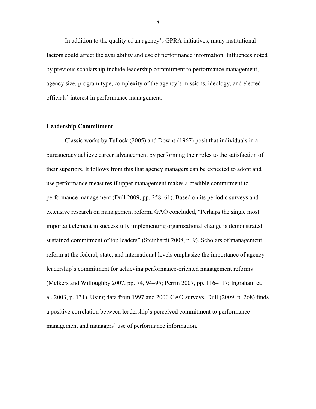In addition to the quality of an agency's GPRA initiatives, many institutional factors could affect the availability and use of performance information. Influences noted by previous scholarship include leadership commitment to performance management, agency size, program type, complexity of the agency's missions, ideology, and elected officials' interest in performance management.

# **Leadership Commitment**

Classic works by Tullock (2005) and Downs (1967) posit that individuals in a bureaucracy achieve career advancement by performing their roles to the satisfaction of their superiors. It follows from this that agency managers can be expected to adopt and use performance measures if upper management makes a credible commitment to performance management (Dull 2009, pp. 258–61). Based on its periodic surveys and extensive research on management reform, GAO concluded, "Perhaps the single most important element in successfully implementing organizational change is demonstrated, sustained commitment of top leaders" (Steinhardt 2008, p. 9). Scholars of management reform at the federal, state, and international levels emphasize the importance of agency leadership's commitment for achieving performance-oriented management reforms (Melkers and Willoughby 2007, pp. 74, 94–95; Perrin 2007, pp. 116–117; Ingraham et. al. 2003, p. 131). Using data from 1997 and 2000 GAO surveys, Dull (2009, p. 268) finds a positive correlation between leadership's perceived commitment to performance management and managers' use of performance information.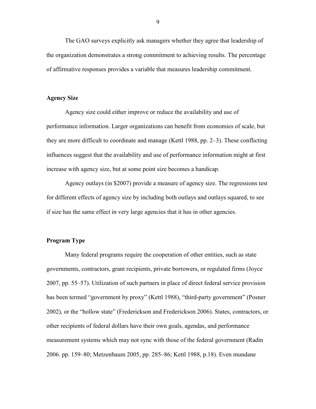The GAO surveys explicitly ask managers whether they agree that leadership of the organization demonstrates a strong commitment to achieving results. The percentage of affirmative responses provides a variable that measures leadership commitment.

#### **Agency Size**

Agency size could either improve or reduce the availability and use of performance information. Larger organizations can benefit from economies of scale, but they are more difficult to coordinate and manage (Kettl 1988, pp. 2–3). These conflicting influences suggest that the availability and use of performance information might at first increase with agency size, but at some point size becomes a handicap.

Agency outlays (in \$2007) provide a measure of agency size. The regressions test for different effects of agency size by including both outlays and outlays squared, to see if size has the same effect in very large agencies that it has in other agencies.

#### **Program Type**

Many federal programs require the cooperation of other entities, such as state governments, contractors, grant recipients, private borrowers, or regulated firms (Joyce 2007, pp. 55–57). Utilization of such partners in place of direct federal service provision has been termed "government by proxy" (Kettl 1988), "third-party government" (Posner 2002), or the "hollow state" (Frederickson and Frederickson 2006). States, contractors, or other recipients of federal dollars have their own goals, agendas, and performance measurement systems which may not sync with those of the federal government (Radin 2006. pp. 159–80; Metzenbaum 2005, pp. 285–86; Kettl 1988, p.18). Even mundane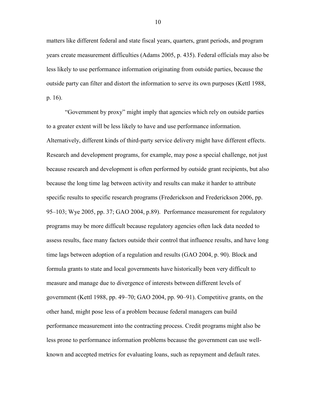matters like different federal and state fiscal years, quarters, grant periods, and program years create measurement difficulties (Adams 2005, p. 435). Federal officials may also be less likely to use performance information originating from outside parties, because the outside party can filter and distort the information to serve its own purposes (Kettl 1988, p. 16).

―Government by proxy‖ might imply that agencies which rely on outside parties to a greater extent will be less likely to have and use performance information. Alternatively, different kinds of third-party service delivery might have different effects. Research and development programs, for example, may pose a special challenge, not just because research and development is often performed by outside grant recipients, but also because the long time lag between activity and results can make it harder to attribute specific results to specific research programs (Frederickson and Frederickson 2006, pp. 95–103; Wye 2005, pp. 37; GAO 2004, p.89). Performance measurement for regulatory programs may be more difficult because regulatory agencies often lack data needed to assess results, face many factors outside their control that influence results, and have long time lags between adoption of a regulation and results (GAO 2004, p. 90). Block and formula grants to state and local governments have historically been very difficult to measure and manage due to divergence of interests between different levels of government (Kettl 1988, pp. 49–70; GAO 2004, pp. 90–91). Competitive grants, on the other hand, might pose less of a problem because federal managers can build performance measurement into the contracting process. Credit programs might also be less prone to performance information problems because the government can use wellknown and accepted metrics for evaluating loans, such as repayment and default rates.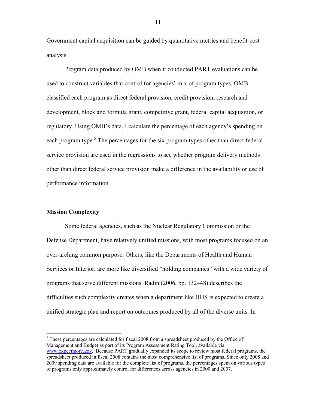Government capital acquisition can be guided by quantitative metrics and benefit-cost analysis.

Program data produced by OMB when it conducted PART evaluations can be used to construct variables that control for agencies' mix of program types. OMB classified each program as direct federal provision, credit provision, research and development, block and formula grant, competitive grant, federal capital acquisition, or regulatory. Using OMB's data, I calculate the percentage of each agency's spending on each program type.<sup>5</sup> The percentages for the six program types other than direct federal service provision are used in the regressions to see whether program delivery methods other than direct federal service provision make a difference in the availability or use of performance information.

## **Mission Complexity**

 $\overline{a}$ 

Some federal agencies, such as the Nuclear Regulatory Commission or the Defense Department, have relatively unified missions, with most programs focused on an over-arching common purpose. Others, like the Departments of Health and Human Services or Interior, are more like diversified "holding companies" with a wide variety of programs that serve different missions. Radin (2006, pp. 132–48) describes the difficulties such complexity creates when a department like HHS is expected to create a unified strategic plan and report on outcomes produced by all of the diverse units. In

 $<sup>5</sup>$  These percentages are calculated for fiscal 2008 from a spreadsheet produced by the Office of</sup> Management and Budget as part of its Program Assessment Rating Tool, available via [www.expectmore.gov.](http://www.expectmore.gov/) Because PART gradually expanded its scope to review most federal programs, the spreadsheet produced in fiscal 2008 contains the most comprehensive list of programs. Since only 2008 and 2009 spending data are available for the complete list of programs, the percentages spent on various types of programs only approximately control for differences across agencies in 2000 and 2007.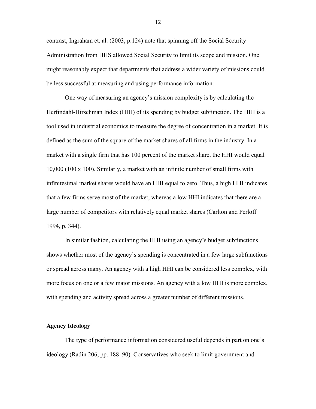contrast, Ingraham et. al. (2003, p.124) note that spinning off the Social Security Administration from HHS allowed Social Security to limit its scope and mission. One might reasonably expect that departments that address a wider variety of missions could be less successful at measuring and using performance information.

One way of measuring an agency's mission complexity is by calculating the Herfindahl-Hirschman Index (HHI) of its spending by budget subfunction. The HHI is a tool used in industrial economics to measure the degree of concentration in a market. It is defined as the sum of the square of the market shares of all firms in the industry. In a market with a single firm that has 100 percent of the market share, the HHI would equal 10,000 (100 x 100). Similarly, a market with an infinite number of small firms with infinitesimal market shares would have an HHI equal to zero. Thus, a high HHI indicates that a few firms serve most of the market, whereas a low HHI indicates that there are a large number of competitors with relatively equal market shares (Carlton and Perloff 1994, p. 344).

In similar fashion, calculating the HHI using an agency's budget subfunctions shows whether most of the agency's spending is concentrated in a few large subfunctions or spread across many. An agency with a high HHI can be considered less complex, with more focus on one or a few major missions. An agency with a low HHI is more complex, with spending and activity spread across a greater number of different missions.

#### **Agency Ideology**

The type of performance information considered useful depends in part on one's ideology (Radin 206, pp. 188–90). Conservatives who seek to limit government and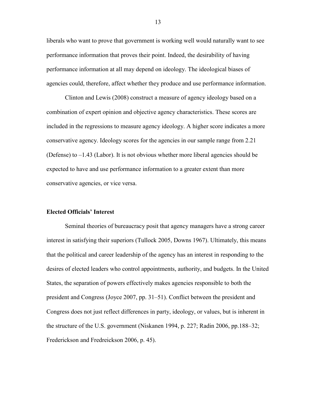liberals who want to prove that government is working well would naturally want to see performance information that proves their point. Indeed, the desirability of having performance information at all may depend on ideology. The ideological biases of agencies could, therefore, affect whether they produce and use performance information.

Clinton and Lewis (2008) construct a measure of agency ideology based on a combination of expert opinion and objective agency characteristics. These scores are included in the regressions to measure agency ideology. A higher score indicates a more conservative agency. Ideology scores for the agencies in our sample range from 2.21 (Defense) to  $-1.43$  (Labor). It is not obvious whether more liberal agencies should be expected to have and use performance information to a greater extent than more conservative agencies, or vice versa.

#### **Elected Officials' Interest**

Seminal theories of bureaucracy posit that agency managers have a strong career interest in satisfying their superiors (Tullock 2005, Downs 1967). Ultimately, this means that the political and career leadership of the agency has an interest in responding to the desires of elected leaders who control appointments, authority, and budgets. In the United States, the separation of powers effectively makes agencies responsible to both the president and Congress (Joyce 2007, pp. 31–51). Conflict between the president and Congress does not just reflect differences in party, ideology, or values, but is inherent in the structure of the U.S. government (Niskanen 1994, p. 227; Radin 2006, pp.188–32; Frederickson and Fredreickson 2006, p. 45).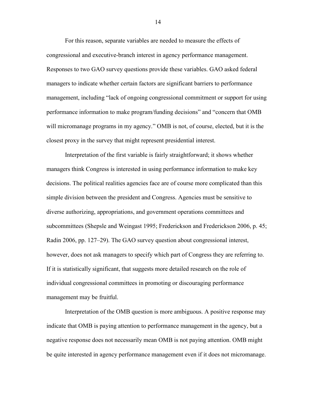For this reason, separate variables are needed to measure the effects of congressional and executive-branch interest in agency performance management. Responses to two GAO survey questions provide these variables. GAO asked federal managers to indicate whether certain factors are significant barriers to performance management, including "lack of ongoing congressional commitment or support for using performance information to make program/funding decisions" and "concern that OMB will micromanage programs in my agency." OMB is not, of course, elected, but it is the closest proxy in the survey that might represent presidential interest.

Interpretation of the first variable is fairly straightforward; it shows whether managers think Congress is interested in using performance information to make key decisions. The political realities agencies face are of course more complicated than this simple division between the president and Congress. Agencies must be sensitive to diverse authorizing, appropriations, and government operations committees and subcommittees (Shepsle and Weingast 1995; Frederickson and Frederickson 2006, p. 45; Radin 2006, pp. 127–29). The GAO survey question about congressional interest, however, does not ask managers to specify which part of Congress they are referring to. If it is statistically significant, that suggests more detailed research on the role of individual congressional committees in promoting or discouraging performance management may be fruitful.

Interpretation of the OMB question is more ambiguous. A positive response may indicate that OMB is paying attention to performance management in the agency, but a negative response does not necessarily mean OMB is not paying attention. OMB might be quite interested in agency performance management even if it does not micromanage.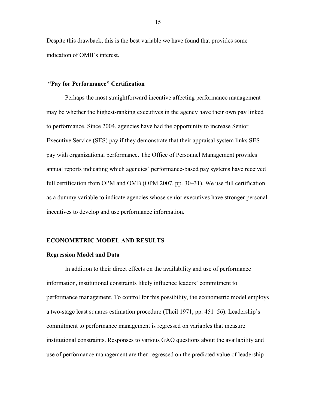Despite this drawback, this is the best variable we have found that provides some indication of OMB's interest.

#### **"Pay for Performance" Certification**

Perhaps the most straightforward incentive affecting performance management may be whether the highest-ranking executives in the agency have their own pay linked to performance. Since 2004, agencies have had the opportunity to increase Senior Executive Service (SES) pay if they demonstrate that their appraisal system links SES pay with organizational performance. The Office of Personnel Management provides annual reports indicating which agencies' performance-based pay systems have received full certification from OPM and OMB (OPM 2007, pp. 30–31). We use full certification as a dummy variable to indicate agencies whose senior executives have stronger personal incentives to develop and use performance information.

#### **ECONOMETRIC MODEL AND RESULTS**

#### **Regression Model and Data**

In addition to their direct effects on the availability and use of performance information, institutional constraints likely influence leaders' commitment to performance management. To control for this possibility, the econometric model employs a two-stage least squares estimation procedure (Theil 1971, pp. 451–56). Leadership's commitment to performance management is regressed on variables that measure institutional constraints. Responses to various GAO questions about the availability and use of performance management are then regressed on the predicted value of leadership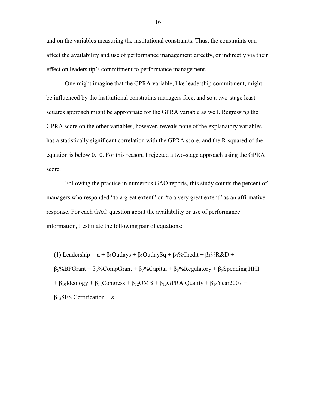and on the variables measuring the institutional constraints. Thus, the constraints can affect the availability and use of performance management directly, or indirectly via their effect on leadership's commitment to performance management.

One might imagine that the GPRA variable, like leadership commitment, might be influenced by the institutional constraints managers face, and so a two-stage least squares approach might be appropriate for the GPRA variable as well. Regressing the GPRA score on the other variables, however, reveals none of the explanatory variables has a statistically significant correlation with the GPRA score, and the R-squared of the equation is below 0.10. For this reason, I rejected a two-stage approach using the GPRA score.

Following the practice in numerous GAO reports, this study counts the percent of managers who responded "to a great extent" or "to a very great extent" as an affirmative response. For each GAO question about the availability or use of performance information, I estimate the following pair of equations:

(1) Leadership =  $\alpha + \beta_1$ Outlays +  $\beta_2$ OutlaySq +  $\beta_3$ %Credit +  $\beta_4$ %R&D +  $\beta_5\%$ BFGrant + β<sub>6</sub>%CompGrant + β<sub>7</sub>%Capital + β<sub>8</sub>%Regulatory + β<sub>9</sub>Spending HHI  $+ \beta_{10}$ Ideology +  $\beta_{11}$ Congress +  $\beta_{12}$ OMB +  $\beta_{13}$ GPRA Quality +  $\beta_{14}$ Year2007 +  $β<sub>15</sub>SES$  Certification + ε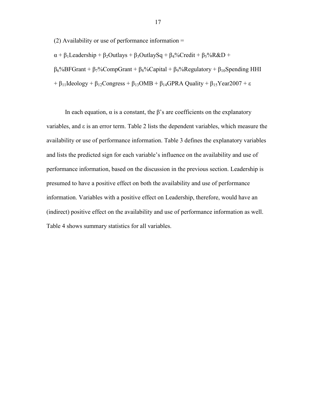(2) Availability or use of performance information  $=$ 

 $\alpha + \beta_1$ Leadership +  $\beta_2$ Outlays +  $\beta_3$ OutlaySq +  $\beta_4$ %Credit +  $\beta_5$ %R&D + β6%BFGrant + β7%CompGrant + β8%Capital + β9%Regulatory + β10Spending HHI + β<sub>11</sub>Ideology + β<sub>12</sub>Congress + β<sub>13</sub>OMB + β<sub>14</sub>GPRA Quality + β<sub>15</sub>Year2007 + ε

In each equation,  $\alpha$  is a constant, the  $\beta$ 's are coefficients on the explanatory variables, and ε is an error term. Table 2 lists the dependent variables, which measure the availability or use of performance information. Table 3 defines the explanatory variables and lists the predicted sign for each variable's influence on the availability and use of performance information, based on the discussion in the previous section. Leadership is presumed to have a positive effect on both the availability and use of performance information. Variables with a positive effect on Leadership, therefore, would have an (indirect) positive effect on the availability and use of performance information as well. Table 4 shows summary statistics for all variables.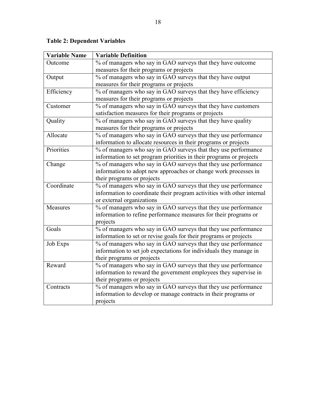# **Table 2: Dependent Variables**

| <b>Variable Name</b> | <b>Variable Definition</b>                                             |
|----------------------|------------------------------------------------------------------------|
| Outcome              | % of managers who say in GAO surveys that they have outcome            |
|                      | measures for their programs or projects                                |
| Output               | % of managers who say in GAO surveys that they have output             |
|                      | measures for their programs or projects                                |
| Efficiency           | % of managers who say in GAO surveys that they have efficiency         |
|                      | measures for their programs or projects                                |
| Customer             | % of managers who say in GAO surveys that they have customers          |
|                      | satisfaction measures for their programs or projects                   |
| Quality              | % of managers who say in GAO surveys that they have quality            |
|                      | measures for their programs or projects                                |
| Allocate             | % of managers who say in GAO surveys that they use performance         |
|                      | information to allocate resources in their programs or projects        |
| Priorities           | % of managers who say in GAO surveys that they use performance         |
|                      | information to set program priorities in their programs or projects    |
| Change               | % of managers who say in GAO surveys that they use performance         |
|                      | information to adopt new approaches or change work processes in        |
|                      | their programs or projects                                             |
| Coordinate           | % of managers who say in GAO surveys that they use performance         |
|                      | information to coordinate their program activities with other internal |
|                      | or external organizations                                              |
| Measures             | % of managers who say in GAO surveys that they use performance         |
|                      | information to refine performance measures for their programs or       |
|                      | projects                                                               |
| Goals                | % of managers who say in GAO surveys that they use performance         |
|                      | information to set or revise goals for their programs or projects      |
| <b>Job Exps</b>      | % of managers who say in GAO surveys that they use performance         |
|                      | information to set job expectations for individuals they manage in     |
|                      | their programs or projects                                             |
| Reward               | % of managers who say in GAO surveys that they use performance         |
|                      | information to reward the government employees they supervise in       |
|                      | their programs or projects                                             |
| Contracts            | % of managers who say in GAO surveys that they use performance         |
|                      | information to develop or manage contracts in their programs or        |
|                      | projects                                                               |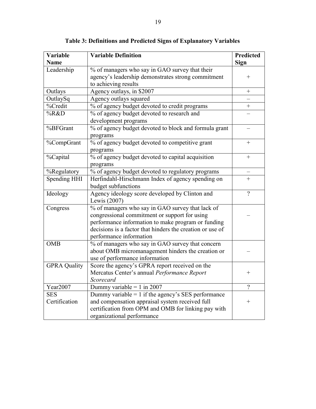| Variable            | <b>Variable Definition</b>                                | <b>Predicted</b>  |
|---------------------|-----------------------------------------------------------|-------------------|
| <b>Name</b>         |                                                           | <b>Sign</b>       |
| Leadership          | % of managers who say in GAO survey that their            |                   |
|                     | agency's leadership demonstrates strong commitment        | $^{+}$            |
|                     | to achieving results                                      |                   |
| Outlays             | Agency outlays, in \$2007                                 | $\qquad \qquad +$ |
| OutlaySq            | Agency outlays squared                                    |                   |
| %Credit             | % of agency budget devoted to credit programs             | $^{+}$            |
| %R&D                | % of agency budget devoted to research and                |                   |
|                     | development programs                                      |                   |
| %BFGrant            | % of agency budget devoted to block and formula grant     |                   |
|                     | programs                                                  |                   |
| %CompGrant          | % of agency budget devoted to competitive grant           | $^{+}$            |
|                     | programs                                                  |                   |
| %Capital            | % of agency budget devoted to capital acquisition         | $+$               |
|                     | programs                                                  |                   |
| %Regulatory         | % of agency budget devoted to regulatory programs         |                   |
| Spending HHI        | Herfindahl-Hirschmann Index of agency spending on         | $^{+}$            |
|                     | budget subfunctions                                       |                   |
| Ideology            | Agency ideology score developed by Clinton and            | $\gamma$          |
|                     | Lewis (2007)                                              |                   |
| Congress            | % of managers who say in GAO survey that lack of          |                   |
|                     | congressional commitment or support for using             |                   |
|                     | performance information to make program or funding        |                   |
|                     | decisions is a factor that hinders the creation or use of |                   |
|                     | performance information                                   |                   |
| <b>OMB</b>          | % of managers who say in GAO survey that concern          |                   |
|                     | about OMB micromanagement hinders the creation or         |                   |
|                     | use of performance information                            |                   |
| <b>GPRA Quality</b> | Score the agency's GPRA report received on the            |                   |
|                     | Mercatus Center's annual Performance Report               | $^{+}$            |
|                     | Scorecard                                                 |                   |
| Year2007            | Dummy variable = $1$ in 2007                              | $\gamma$          |
| <b>SES</b>          | Dummy variable $= 1$ if the agency's SES performance      |                   |
| Certification       | and compensation appraisal system received full           | $^{+}$            |
|                     | certification from OPM and OMB for linking pay with       |                   |
|                     | organizational performance                                |                   |

**Table 3: Definitions and Predicted Signs of Explanatory Variables**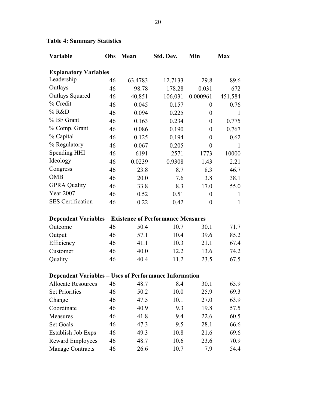| Variable                                                       | Obs | Mean    | Std. Dev. | Min              | <b>Max</b>   |
|----------------------------------------------------------------|-----|---------|-----------|------------------|--------------|
| <b>Explanatory Variables</b>                                   |     |         |           |                  |              |
| Leadership                                                     | 46  | 63.4783 | 12.7133   | 29.8             | 89.6         |
| Outlays                                                        | 46  | 98.78   | 178.28    | 0.031            | 672          |
| <b>Outlays Squared</b>                                         | 46  | 40,851  | 106,031   | 0.000961         | 451,584      |
| % Credit                                                       | 46  | 0.045   | 0.157     | $\overline{0}$   | 0.76         |
| % R&D                                                          | 46  | 0.094   | 0.225     | $\boldsymbol{0}$ | $\mathbf{1}$ |
| % BF Grant                                                     | 46  | 0.163   | 0.234     | $\boldsymbol{0}$ | 0.775        |
| % Comp. Grant                                                  | 46  | 0.086   | 0.190     | $\boldsymbol{0}$ | 0.767        |
| % Capital                                                      | 46  | 0.125   | 0.194     | $\overline{0}$   | 0.62         |
| % Regulatory                                                   | 46  | 0.067   | 0.205     | $\boldsymbol{0}$ | 1            |
| <b>Spending HHI</b>                                            | 46  | 6191    | 2571      | 1773             | 10000        |
| Ideology                                                       | 46  | 0.0239  | 0.9308    | $-1.43$          | 2.21         |
| Congress                                                       | 46  | 23.8    | 8.7       | 8.3              | 46.7         |
| <b>OMB</b>                                                     | 46  | 20.0    | 7.6       | 3.8              | 38.1         |
| <b>GPRA Quality</b>                                            | 46  | 33.8    | 8.3       | 17.0             | 55.0         |
| <b>Year 2007</b>                                               | 46  | 0.52    | 0.51      | $\boldsymbol{0}$ | $\mathbf{1}$ |
| <b>SES</b> Certification                                       | 46  | 0.22    | 0.42      | $\boldsymbol{0}$ | $\mathbf{1}$ |
| <b>Dependent Variables - Existence of Performance Measures</b> |     |         |           |                  |              |
| Outcome                                                        | 46  | 50.4    | 10.7      | 30.1             | 71.7         |
| Output                                                         | 46  | 57.1    | 10.4      | 39.6             | 85.2         |
| Efficiency                                                     | 46  | 41.1    | 10.3      | 21.1             | 67.4         |
| Customer                                                       | 46  | 40.0    | 12.2      | 13.6             | 74.2         |
| Quality                                                        | 46  | 40.4    | 11.2      | 23.5             | 67.5         |
| <b>Dependent Variables - Uses of Performance Information</b>   |     |         |           |                  |              |
| Allocate Resources 46 48.7 8.4                                 |     |         |           | 30.1             | 65.9         |
| <b>Set Priorities</b>                                          | 46  | 50.2    | 10.0      | 25.9             | 69.3         |
| Change                                                         | 46  | 47.5    | 10.1      | 27.0             | 63.9         |
| Coordinate                                                     | 46  | 40.9    | 9.3       | 19.8             | 57.5         |
| Measures                                                       | 46  | 41.8    | 9.4       | 22.6             | 60.5         |
| <b>Set Goals</b>                                               | 46  | 47.3    | 9.5       | 28.1             | 66.6         |
| Establish Job Exps                                             | 46  | 49.3    | 10.8      | 21.6             | 69.6         |
| <b>Reward Employees</b>                                        | 46  | 48.7    | 10.6      | 23.6             | 70.9         |
| <b>Manage Contracts</b>                                        | 46  | 26.6    | 10.7      | 7.9              | 54.4         |

# **Table 4: Summary Statistics**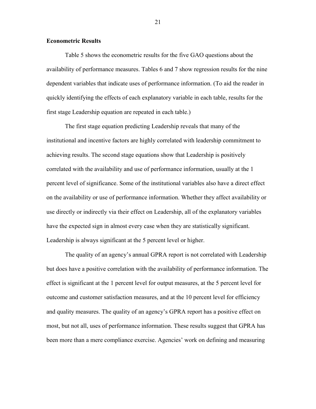#### **Econometric Results**

Table 5 shows the econometric results for the five GAO questions about the availability of performance measures. Tables 6 and 7 show regression results for the nine dependent variables that indicate uses of performance information. (To aid the reader in quickly identifying the effects of each explanatory variable in each table, results for the first stage Leadership equation are repeated in each table.)

The first stage equation predicting Leadership reveals that many of the institutional and incentive factors are highly correlated with leadership commitment to achieving results. The second stage equations show that Leadership is positively correlated with the availability and use of performance information, usually at the 1 percent level of significance. Some of the institutional variables also have a direct effect on the availability or use of performance information. Whether they affect availability or use directly or indirectly via their effect on Leadership, all of the explanatory variables have the expected sign in almost every case when they are statistically significant. Leadership is always significant at the 5 percent level or higher.

The quality of an agency's annual GPRA report is not correlated with Leadership but does have a positive correlation with the availability of performance information. The effect is significant at the 1 percent level for output measures, at the 5 percent level for outcome and customer satisfaction measures, and at the 10 percent level for efficiency and quality measures. The quality of an agency's GPRA report has a positive effect on most, but not all, uses of performance information. These results suggest that GPRA has been more than a mere compliance exercise. Agencies' work on defining and measuring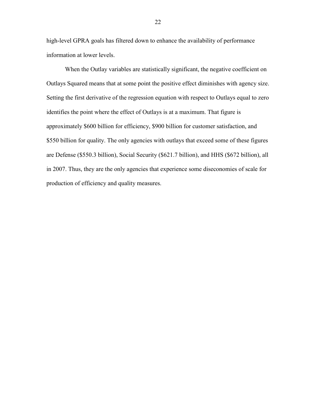high-level GPRA goals has filtered down to enhance the availability of performance information at lower levels.

When the Outlay variables are statistically significant, the negative coefficient on Outlays Squared means that at some point the positive effect diminishes with agency size. Setting the first derivative of the regression equation with respect to Outlays equal to zero identifies the point where the effect of Outlays is at a maximum. That figure is approximately \$600 billion for efficiency, \$900 billion for customer satisfaction, and \$550 billion for quality. The only agencies with outlays that exceed some of these figures are Defense (\$550.3 billion), Social Security (\$621.7 billion), and HHS (\$672 billion), all in 2007. Thus, they are the only agencies that experience some diseconomies of scale for production of efficiency and quality measures.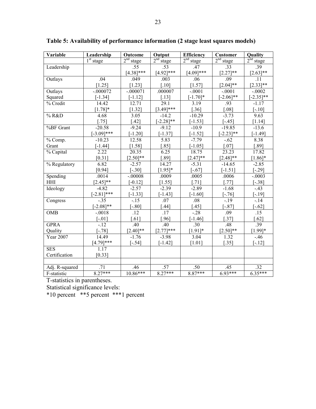| Variable                      | Leadership            | Outcome                  | Output                   | <b>Efficiency</b>     | <b>Customer</b>       | Quality               |
|-------------------------------|-----------------------|--------------------------|--------------------------|-----------------------|-----------------------|-----------------------|
|                               | 1 <sup>st</sup> stage | 2 <sup>nd</sup><br>stage | 2 <sup>nd</sup><br>stage | 2 <sup>nd</sup> stage | 2 <sup>nd</sup> stage | 2 <sup>nd</sup> stage |
| Leadership                    |                       | .55                      | .53                      | .47                   | .33                   | .39                   |
|                               |                       | $[4.38]$ ***             | $[4.92]$ ***             | $[4.09]$ ***          | $[2.27]**$            | $[2.63]$ **           |
| Outlays                       | .04                   | .049                     | .003                     | .06                   | .09                   | .11                   |
|                               | [1.25]                | [1.23]                   | $[.10]$                  | [1.57]                | $[2.04]$ **           | $[2.33]^{**}$         |
| Outlays                       | $-.000072$            | $-.000071$               | .000007                  | $-.0001$              | $-.0001$              | $-0.0002$             |
| Squared                       | $[-1.34]$             | $[-1.12]$                | $[.13]$                  | $[-1.70]$ *           | $-2.06$ <sup>**</sup> | $[-2.35]$ **          |
| % Credit                      | 14.42                 | 12.71                    | 29.1                     | 3.19                  | .93                   | $-1.17$               |
|                               | $[1.78]$ *            | [1.32]                   | $[3.49]$ ***             | $[.36]$               | [.08]                 | $[-.10]$              |
| % R&D                         | 4.68                  | $\overline{3.05}$        | $-14.2$                  | $-10.29$              | $-3.73$               | 9.63                  |
|                               | $[.75]$               | $[.42]$                  | $[-2.28]$ **             | $[-1.53]$             | $[-.45]$              | $[1.14]$              |
| %BF Grant                     | $-20.58$              | $-9.24$                  | $-9.12$                  | $-10.9$               | $-19.85$              | $-13.6$               |
|                               | $[-3.09]$ ***         | $[-1.20]$                | $[-1.37]$                | $[-1.52]$             | $[-2.23]$ **          | $[-1.49]$             |
| $\sqrt[9]{\frac{6}{5}}$ Comp. | $-10.23$              | 12.58                    | 5.83                     | $-7.79$               | $-.62$                | 8.38                  |
| Grant                         | $[-1.44]$             | $[1.58]$                 | $[.85]$                  | $[-1.05]$             | $[.07]$               | [.89]                 |
| % Capital                     | 2.22                  | 20.35                    | 6.25                     | 18.75                 | 23.23                 | 17.82                 |
|                               | $[0.31]$              | $[2.50]$ **              | $[.89]$                  | $[2.47]**$            | $[2.48]$ **           | $[1.86]$ *            |
| % Regulatory                  | 6.82                  | $-2.57$                  | 14.27                    | $-5.31$               | $-14.\overline{65}$   | $-2.85$               |
|                               | [0.94]                | $[-.30]$                 | $[1.95]$ *               | $[-.67]$              | $[-1.51]$             | $[-.29]$              |
| Spending                      | .0014                 | $-.00008$                | .0009                    | .0005                 | .0006                 | $-.0003$              |
| HHI                           | $[2.45]$ **           | $[-0.12]$                | [1.55]                   | $[.71]$               | $[.77]$               | $[-.38]$              |
| Ideology                      | $-4.82$               | $-2.57$                  | $-2.39$                  | $-2.89$               | $-1.68$               | $-43$                 |
|                               | $[-2.81]$ ***         | $[-1.33]$                | $[-1.43]$                | $[-1.60]$             | $[-.76]$              | $[-.19]$              |
| Congress                      | $-35$                 | $-15$                    | .07                      | .08                   | $-19$                 | $-14$                 |
|                               | $[-2.08]$ **          | $[-.80]$                 | $[.44]$                  | $[.45]$               | $[-.87]$              | $[-.62]$              |
| <b>OMB</b>                    | $-.0018$              | $\overline{.12}$         | .17                      | $-28$                 | .09                   | $\overline{.15}$      |
|                               | $[-.01]$              | [.61]                    | $[.96]$                  | $[-1.46]$             | $[.37]$               | [.62]                 |
| <b>GPRA</b>                   | $-12$                 | .40                      | .40                      | .30                   | .48                   | .39                   |
| Quality                       | $[-.78]$              | $[2.40]$ **              | $[2.77]$ ***             | $[1.91]$ *            | $[2.50]$ **           | $[1.99]*$             |
| Year 2007                     | 14.49                 | $-1.76$                  | $-3.98$                  | 3.04                  | 1.32                  | $-.46$                |
|                               | $[4.79]$ ***          | $[-.54]$                 | $[-1.42]$                | [1.01]                | [.35]                 | $[-.12]$              |
| <b>SES</b>                    | 1.17                  |                          |                          |                       |                       |                       |
| Certification                 | [0.33]                |                          |                          |                       |                       |                       |
|                               |                       |                          |                          |                       |                       |                       |
| Adj. R-squared                | .71                   | .46                      | .57                      | .50                   | .45                   | .32                   |
| F-statistic                   | $8.27***$             | $10.86***$               | $8.27***$                | $8.87***$             | $6.93***$             | $6.35***$             |

**Table 5: Availability of performance information (2 stage least squares models)**

T-statistics in parentheses.

Statistical significance levels:

\*10 percent \*\*5 percent \*\*\*1 percent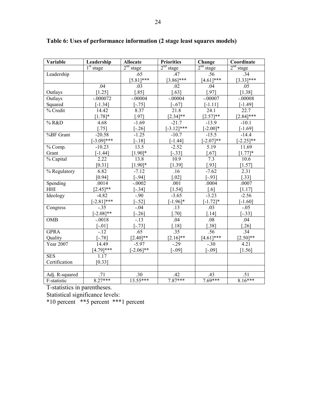| Variable       | Leadership    | <b>Allocate</b>       | <b>Priorities</b>     | Change                | Coordinate            |  |
|----------------|---------------|-----------------------|-----------------------|-----------------------|-----------------------|--|
|                | $1st$ stage   | 2 <sup>nd</sup> stage | 2 <sup>nd</sup> stage | 2 <sup>nd</sup> stage | 2 <sup>nd</sup> stage |  |
| Leadership     |               | .65                   | .47                   | .56                   | .34                   |  |
|                |               | $[5.81]$ ***          | $[3.86]$ ***          | $[4.61]$ ***          | $[3.33]***$           |  |
|                | .04           | .03                   | .02                   | .04                   | .05                   |  |
| Outlays        | $[1.25]$      | $[.85]$               | $[.63]$               | $[.97]$               | [1.38]                |  |
| Outlays        | $-.000072$    | $-.00004$             | $-.00004$             | $-.00007$             | $-.00008$             |  |
| Squared        | $[-1.34]$     | $[-.75]$              | $[-.67]$              | $[-1.11]$             | $[-1.49]$             |  |
| % Credit       | 14.42         | 8.37                  | 21.8                  | 24.1                  | 22.7                  |  |
|                | $[1.78]$ *    | $[.97]$               | $[2.34]$ **           | $[2.57]**$            | $[2.84]$ ***          |  |
| % R&D          | 4.68          | $-1.69$               | $-21.7$               | $-13.9$               | $-10.1$               |  |
|                | $[.75]$       | $[-.26]$              | $[-3.12]$ ***         | $[-2.00]*$            | $[-1.69]$             |  |
| %BF Grant      | $-20.58$      | $-1.25$               | $-10.7$               | $-15.5$               | $-14.4$               |  |
|                | $[-3.09]$ *** | $[-.18]$              | $[-1.44]$             | $[-2.07]**$           | $[-2.25]$ **          |  |
| % Comp.        | $-10.23$      | 13.5                  | $-2.52$               | 5.19                  | 11.69                 |  |
| Grant          | $[-1.44]$     | $[1.90]$ *            | $[-.33]$              | $[.67]$               | $[1.77]$ *            |  |
| % Capital      | 2.22          | 13.8                  | 10.9                  | 7.3                   | 10.6                  |  |
|                | [0.31]        | $[1.90]$ *            | [1.39]                | $[.93]$               | [1.57]                |  |
| % Regulatory   | 6.82          | $-7.12$               | .16                   | $-7.62$               | 2.31                  |  |
|                | [0.94]        | $[-.94]$              | [.02]                 | $[-.93]$              | [.33]                 |  |
| Spending       | .0014         | $-.0002$              | .001                  | .0004                 | .0007                 |  |
| HHI            | $[2.45]$ **   | $[-.34]$              | $[1.54]$              | $\lceil .6 \rceil$    | [1.17]                |  |
| Ideology       | $-4.82$       | $-90$                 | $-3.65$               | $-3.23$               | $-2.56$               |  |
|                | $[-2.81]$ *** | $[-.52]$              | $[-1.96]$ *           | $[-1.72]*$            | $[-1.60]$             |  |
| Congress       | $-.35$        | $-.04$                | .13                   | .03                   | $-.05$                |  |
|                | $[-2.08]$ **  | $[-.26]$              | $[.70]$               | $[.14]$               | $[-.33]$              |  |
| <b>OMB</b>     | $-.0018$      | $-13$                 | .04                   | .08                   | .04                   |  |
|                | $[-.01]$      | $[-.73]$              | $[.18]$               | $[.38]$               | $[.26]$               |  |
| <b>GPRA</b>    | $-12$         | .65                   | .35                   | .56                   | .34                   |  |
| Quality        | $[-.78]$      | $[2.40]$ **           | $[2.16]$ **           | $[4.61]***$           | $[2.50]$ **           |  |
| Year 2007      | 14.49         | $-5.97$               | $-.29$                | $-.30$                | 4.21                  |  |
|                | $[4.79]$ ***  | $-2.06$ <sup>**</sup> | $[-.09]$              | $[-.09]$              | [1.56]                |  |
| <b>SES</b>     | 1.17          |                       |                       |                       |                       |  |
| Certification  | [0.33]        |                       |                       |                       |                       |  |
|                |               |                       |                       |                       |                       |  |
| Adj. R-squared | .71           | .30                   | .42                   | .43                   | .51                   |  |
| F-statistic    | $8.27***$     | 13.55***              | $7.87***$             | 7.69***               | $8.16***$             |  |

**Table 6: Uses of performance information (2 stage least squares models)**

T-statistics in parentheses.

Statistical significance levels:

\*10 percent \*\*5 percent \*\*\*1 percent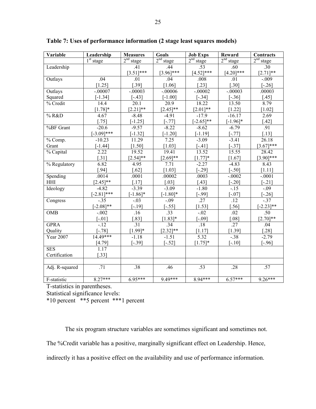| Variable         | Leadership       | <b>Measures</b>       | <b>Goals</b>      | <b>Job Exps</b>       | Reward                | <b>Contracts</b>      |
|------------------|------------------|-----------------------|-------------------|-----------------------|-----------------------|-----------------------|
|                  | $1st$ stage      | 2 <sup>nd</sup> stage | $2nd$ stage       | 2 <sup>nd</sup> stage | 2 <sup>nd</sup> stage | 2 <sup>nd</sup> stage |
| Leadership       |                  | .41                   | .44               | .53                   | .60                   | .30                   |
|                  |                  | $[3.51]***$           | $[3.96]$ ***      | $[4.52]***$           | $[4.20]$ ***          | $[2.71]$ **           |
| Outlays          | .04              | .01                   | .04               | .008                  | .01                   | $-.009$               |
|                  | $[1.25]$         | [.39]                 | [1.06]            | $[.23]$               | $[.30]$               | $[-.26]$              |
| Outlays          | $-.00007$        | $-0.0003$             | $-00006$          | $-00002$              | $-0.0003$             | .00003                |
| Squared          | $[-1.34]$        | $[-.43]$              | $[-1.00]$         | $[-.34]$              | $[-.36]$              | $[.45]$               |
| % Credit         | 14.4             | 20.1                  | 20.9              | 18.22                 | 13.50                 | 8.79                  |
|                  | $[1.78]$ *       | $[2.21]$ **           | $[2.45]$ **       | $[2.01]**$            | $[1.22]$              | [1.02]                |
| % R&D            | 4.67             | $-8.48$               | $-4.91$           | $-17.9$               | $-16.17$              | 2.69                  |
|                  | $[.75]$          | $[-1.25]$             | $[-.77]$          | $[-2.65]$ **          | $[-1.96]$ *           | $[.42]$               |
| %BF Grant        | $-20.6$          | $-9.57$               | $-8.22$           | $-8.62$               | $-6.79$               | .91                   |
|                  | $[-3.09]$ ***    | $[-1.32]$             | $[-1.20]$         | $[-1.19]$             | $[-.77]$              | $[.13]$               |
| % Comp.          | $-10.23$         | 11.29                 | $\overline{7.25}$ | $-3.09$               | $-3.41$               | 26.18                 |
| Grant            | $[-1.44]$        | [1.50]                | [1.03]            | $[-.41]$              | $[-.37]$              | $[3.67]$ ***          |
| % Capital        | 2.22             | 19.52                 | 19.41             | 13.52                 | 15.55                 | 28.42                 |
|                  | $[.31]$          | $[2.54]$ **           | $[2.69]$ **       | $[1.77]$ *            | $[1.67]$              | $[3.90]$ ***          |
| % Regulatory     | 6.82             | 4.95                  | 7.71              | $-2.27$               | $-4.83$               | 8.43                  |
|                  | [.94]            | $[.62]$               | [1.03]            | $[-.29]$              | $[-.50]$              | [1.11]                |
| Spending         | .0014            | .0001                 | .00002            | .0003                 | $-.0002$              | $-.0001$              |
| HHI              | $[2.45]$ **      | $[.17]$               | $[.03]$           | $[.43]$               | $[-.20]$              | $[-.21]$              |
| Ideology         | $-4.82$          | $-3.39$               | $-3.09$           | $-1.80$               | $-15$                 | $-.09$                |
|                  | $[-2.81]$ ***    | $[-1.86]$ *           | $[-1.80]*$        | $[-.99]$              | $[-.07]$              | $[-.26]$              |
| Congress         | $-35$            | $-0.03$               | $-0.09$           | .27                   | $\overline{.12}$      | $-37$                 |
|                  | $[-2.08]$ **     | $-19$ ]               | $[-.55]$          | [1.53]                | $.56]$                | $-2.23$ ]**           |
| <b>OMB</b>       | $-.002$          | $\overline{.16}$      | .33               | $-.02$                | .02                   | .50                   |
|                  | $[-.01]$         | .83]                  | $[1.83]*$         | $[-0.09]$             | [.08]                 | $[2.70]$ **           |
| <b>GPRA</b>      | $-12$            | .31                   | .34               | .18                   | $\overline{.27}$      | .04                   |
| Quality          | $-78$ ]          | $[1.99]*$             | $[2.32]$ **       | [1.17]                | [1.39]                | $[.28]$               |
| <b>Year 2007</b> | 14.49***         | $-1.18$               | $-1.51$           | $\overline{5.32}$     | $-38$                 | $-2.79$               |
|                  | [4.79]           | $[-.39]$              | $[-.52]$          | $[1.75]$ *            | $[-.10]$              | $[-.96]$              |
| <b>SES</b>       | 1.17             |                       |                   |                       |                       |                       |
| Certification    | [.33]            |                       |                   |                       |                       |                       |
|                  |                  |                       |                   |                       |                       |                       |
| Adj. R-squared   | $\overline{.71}$ | .38                   | .46               | .53                   | .28                   | .57                   |
|                  |                  |                       |                   |                       |                       |                       |
| F-statistic      | $8.27***$        | $6.95***$             | $9.49***$         | $8.94***$             | $6.57***$             | $9.26***$             |

**Table 7: Uses of performance information (2 stage least squares models)**

T-statistics in parentheses.

Statistical significance levels:

\*10 percent \*\*5 percent \*\*\*1 percent

The six program structure variables are sometimes significant and sometimes not. The %Credit variable has a positive, marginally significant effect on Leadership. Hence, indirectly it has a positive effect on the availability and use of performance information.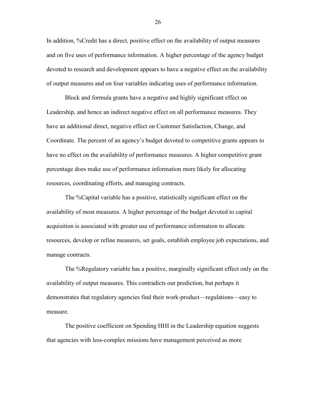In addition, %Credit has a direct, positive effect on the availability of output measures and on five uses of performance information. A higher percentage of the agency budget devoted to research and development appears to have a negative effect on the availability of output measures and on four variables indicating uses of performance information.

Block and formula grants have a negative and highly significant effect on Leadership, and hence an indirect negative effect on all performance measures. They have an additional direct, negative effect on Customer Satisfaction, Change, and Coordinate. The percent of an agency's budget devoted to competitive grants appears to have no effect on the availability of performance measures. A higher competitive grant percentage does make use of performance information more likely for allocating resources, coordinating efforts, and managing contracts.

The %Capital variable has a positive, statistically significant effect on the availability of most measures. A higher percentage of the budget devoted to capital acquisition is associated with greater use of performance information to allocate resources, develop or refine measures, set goals, establish employee job expectations, and manage contracts.

The %Regulatory variable has a positive, marginally significant effect only on the availability of output measures. This contradicts our prediction, but perhaps it demonstrates that regulatory agencies find their work-product—regulations—easy to measure.

The positive coefficient on Spending HHI in the Leadership equation suggests that agencies with less-complex missions have management perceived as more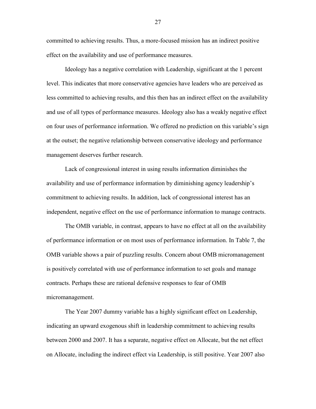committed to achieving results. Thus, a more-focused mission has an indirect positive effect on the availability and use of performance measures.

Ideology has a negative correlation with Leadership, significant at the 1 percent level. This indicates that more conservative agencies have leaders who are perceived as less committed to achieving results, and this then has an indirect effect on the availability and use of all types of performance measures. Ideology also has a weakly negative effect on four uses of performance information. We offered no prediction on this variable's sign at the outset; the negative relationship between conservative ideology and performance management deserves further research.

Lack of congressional interest in using results information diminishes the availability and use of performance information by diminishing agency leadership's commitment to achieving results. In addition, lack of congressional interest has an independent, negative effect on the use of performance information to manage contracts.

The OMB variable, in contrast, appears to have no effect at all on the availability of performance information or on most uses of performance information. In Table 7, the OMB variable shows a pair of puzzling results. Concern about OMB micromanagement is positively correlated with use of performance information to set goals and manage contracts. Perhaps these are rational defensive responses to fear of OMB micromanagement.

The Year 2007 dummy variable has a highly significant effect on Leadership, indicating an upward exogenous shift in leadership commitment to achieving results between 2000 and 2007. It has a separate, negative effect on Allocate, but the net effect on Allocate, including the indirect effect via Leadership, is still positive. Year 2007 also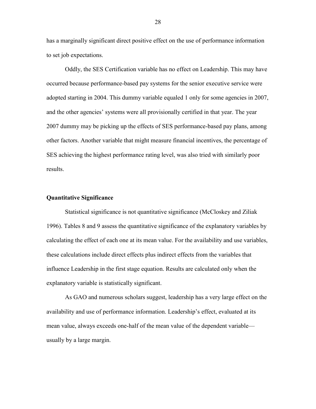has a marginally significant direct positive effect on the use of performance information to set job expectations.

Oddly, the SES Certification variable has no effect on Leadership. This may have occurred because performance-based pay systems for the senior executive service were adopted starting in 2004. This dummy variable equaled 1 only for some agencies in 2007, and the other agencies' systems were all provisionally certified in that year. The year 2007 dummy may be picking up the effects of SES performance-based pay plans, among other factors. Another variable that might measure financial incentives, the percentage of SES achieving the highest performance rating level, was also tried with similarly poor results.

#### **Quantitative Significance**

Statistical significance is not quantitative significance (McCloskey and Ziliak 1996). Tables 8 and 9 assess the quantitative significance of the explanatory variables by calculating the effect of each one at its mean value. For the availability and use variables, these calculations include direct effects plus indirect effects from the variables that influence Leadership in the first stage equation. Results are calculated only when the explanatory variable is statistically significant.

As GAO and numerous scholars suggest, leadership has a very large effect on the availability and use of performance information. Leadership's effect, evaluated at its mean value, always exceeds one-half of the mean value of the dependent variable usually by a large margin.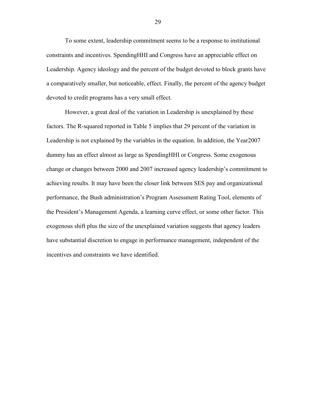To some extent, leadership commitment seems to be a response to institutional constraints and incentives. SpendingHHI and Congress have an appreciable effect on Leadership. Agency ideology and the percent of the budget devoted to block grants have a comparatively smaller, but noticeable, effect. Finally, the percent of the agency budget devoted to credit programs has a very small effect.

However, a great deal of the variation in Leadership is unexplained by these factors. The R-squared reported in Table 5 implies that 29 percent of the variation in Leadership is not explained by the variables in the equation. In addition, the Year2007 dummy has an effect almost as large as SpendingHHI or Congress. Some exogenous change or changes between 2000 and 2007 increased agency leadership's commitment to achieving results. It may have been the closer link between SES pay and organizational performance, the Bush administration's Program Assessment Rating Tool, elements of the President's Management Agenda, a learning curve effect, or some other factor. This exogenous shift plus the size of the unexplained variation suggests that agency leaders have substantial discretion to engage in performance management, independent of the incentives and constraints we have identified.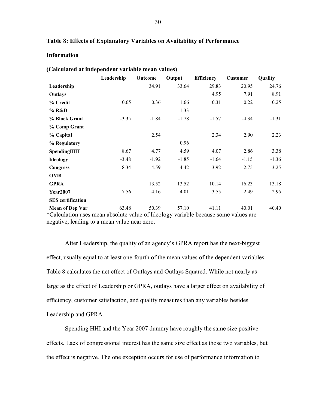#### **Table 8: Effects of Explanatory Variables on Availability of Performance**

#### **Information**

|                          | Leadership                                                                         | Outcome | Output  | <b>Efficiency</b> | <b>Customer</b> | Quality |  |  |  |  |
|--------------------------|------------------------------------------------------------------------------------|---------|---------|-------------------|-----------------|---------|--|--|--|--|
| Leadership               |                                                                                    | 34.91   | 33.64   | 29.83             | 20.95           | 24.76   |  |  |  |  |
| Outlays                  |                                                                                    |         |         | 4.95              | 7.91            | 8.91    |  |  |  |  |
| % Credit                 | 0.65                                                                               | 0.36    | 1.66    | 0.31              | 0.22            | 0.25    |  |  |  |  |
| % R&D                    |                                                                                    |         | $-1.33$ |                   |                 |         |  |  |  |  |
| % Block Grant            | $-3.35$                                                                            | $-1.84$ | $-1.78$ | $-1.57$           | $-4.34$         | $-1.31$ |  |  |  |  |
| % Comp Grant             |                                                                                    |         |         |                   |                 |         |  |  |  |  |
| % Capital                |                                                                                    | 2.54    |         | 2.34              | 2.90            | 2.23    |  |  |  |  |
| % Regulatory             |                                                                                    |         | 0.96    |                   |                 |         |  |  |  |  |
| <b>SpendingHHI</b>       | 8.67                                                                               | 4.77    | 4.59    | 4.07              | 2.86            | 3.38    |  |  |  |  |
| <b>Ideology</b>          | $-3.48$                                                                            | $-1.92$ | $-1.85$ | $-1.64$           | $-1.15$         | $-1.36$ |  |  |  |  |
| <b>Congress</b>          | $-8.34$                                                                            | $-4.59$ | $-4.42$ | $-3.92$           | $-2.75$         | $-3.25$ |  |  |  |  |
| <b>OMB</b>               |                                                                                    |         |         |                   |                 |         |  |  |  |  |
| <b>GPRA</b>              |                                                                                    | 13.52   | 13.52   | 10.14             | 16.23           | 13.18   |  |  |  |  |
| <b>Year2007</b>          | 7.56                                                                               | 4.16    | 4.01    | 3.55              | 2.49            | 2.95    |  |  |  |  |
| <b>SES</b> certification |                                                                                    |         |         |                   |                 |         |  |  |  |  |
| <b>Mean of Dep Var</b>   | 63.48                                                                              | 50.39   | 57.10   | 41.11             | 40.01           | 40.40   |  |  |  |  |
|                          | *Calculation uses mean absolute value of Ideology variable because some values are |         |         |                   |                 |         |  |  |  |  |

#### **(Calculated at independent variable mean values)**

\*Calculation uses mean absolute value of Ideology variable because some values are negative, leading to a mean value near zero.

After Leadership, the quality of an agency's GPRA report has the next-biggest effect, usually equal to at least one-fourth of the mean values of the dependent variables. Table 8 calculates the net effect of Outlays and Outlays Squared. While not nearly as large as the effect of Leadership or GPRA, outlays have a larger effect on availability of efficiency, customer satisfaction, and quality measures than any variables besides Leadership and GPRA.

Spending HHI and the Year 2007 dummy have roughly the same size positive effects. Lack of congressional interest has the same size effect as those two variables, but the effect is negative. The one exception occurs for use of performance information to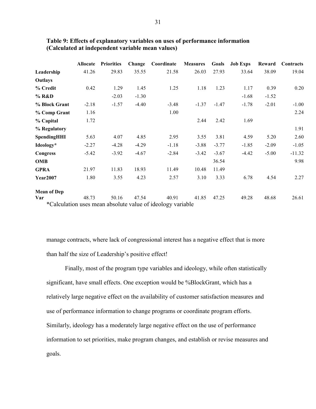|                    | Allocate | <b>Priorities</b> | Change  | Coordinate                                                 | <b>Measures</b> | Goals   | <b>Job Exps</b> | Reward  | Contracts |
|--------------------|----------|-------------------|---------|------------------------------------------------------------|-----------------|---------|-----------------|---------|-----------|
| Leadership         | 41.26    | 29.83             | 35.55   | 21.58                                                      | 26.03           | 27.93   | 33.64           | 38.09   | 19.04     |
| Outlays            |          |                   |         |                                                            |                 |         |                 |         |           |
| % Credit           | 0.42     | 1.29              | 1.45    | 1.25                                                       | 1.18            | 1.23    | 1.17            | 0.39    | 0.20      |
| % R&D              |          | $-2.03$           | $-1.30$ |                                                            |                 |         | $-1.68$         | $-1.52$ |           |
| % Block Grant      | $-2.18$  | $-1.57$           | $-4.40$ | $-3.48$                                                    | $-1.37$         | $-1.47$ | $-1.78$         | $-2.01$ | $-1.00$   |
| % Comp Grant       | 1.16     |                   |         | 1.00                                                       |                 |         |                 |         | 2.24      |
| % Capital          | 1.72     |                   |         |                                                            | 2.44            | 2.42    | 1.69            |         |           |
| % Regulatory       |          |                   |         |                                                            |                 |         |                 |         | 1.91      |
| SpendingHHI        | 5.63     | 4.07              | 4.85    | 2.95                                                       | 3.55            | 3.81    | 4.59            | 5.20    | 2.60      |
| Ideology*          | $-2.27$  | $-4.28$           | $-4.29$ | $-1.18$                                                    | $-3.88$         | $-3.77$ | $-1.85$         | $-2.09$ | $-1.05$   |
| <b>Congress</b>    | $-5.42$  | $-3.92$           | $-4.67$ | $-2.84$                                                    | $-3.42$         | $-3.67$ | $-4.42$         | $-5.00$ | $-11.32$  |
| <b>OMB</b>         |          |                   |         |                                                            |                 | 36.54   |                 |         | 9.98      |
| <b>GPRA</b>        | 21.97    | 11.83             | 18.93   | 11.49                                                      | 10.48           | 11.49   |                 |         |           |
| <b>Year2007</b>    | 1.80     | 3.55              | 4.23    | 2.57                                                       | 3.10            | 3.33    | 6.78            | 4.54    | 2.27      |
| <b>Mean of Dep</b> |          |                   |         |                                                            |                 |         |                 |         |           |
| Var                | 48.73    | 50.16             | 47.54   | 40.91                                                      | 41.85           | 47.25   | 49.28           | 48.68   | 26.61     |
|                    |          |                   |         | *Calculation uses mean absolute value of ideology variable |                 |         |                 |         |           |

# **Table 9: Effects of explanatory variables on uses of performance information (Calculated at independent variable mean values)**

manage contracts, where lack of congressional interest has a negative effect that is more than half the size of Leadership's positive effect!

Finally, most of the program type variables and ideology, while often statistically significant, have small effects. One exception would be %BlockGrant, which has a relatively large negative effect on the availability of customer satisfaction measures and use of performance information to change programs or coordinate program efforts. Similarly, ideology has a moderately large negative effect on the use of performance information to set priorities, make program changes, and establish or revise measures and goals.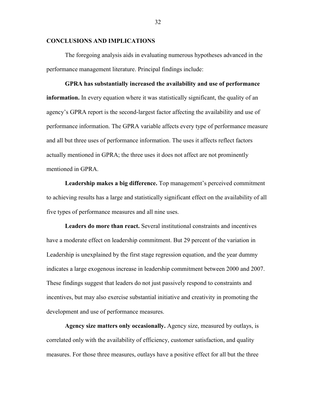# **CONCLUSIONS AND IMPLICATIONS**

The foregoing analysis aids in evaluating numerous hypotheses advanced in the performance management literature. Principal findings include:

**GPRA has substantially increased the availability and use of performance information.** In every equation where it was statistically significant, the quality of an agency's GPRA report is the second-largest factor affecting the availability and use of performance information. The GPRA variable affects every type of performance measure and all but three uses of performance information. The uses it affects reflect factors actually mentioned in GPRA; the three uses it does not affect are not prominently mentioned in GPRA.

**Leadership makes a big difference.** Top management's perceived commitment to achieving results has a large and statistically significant effect on the availability of all five types of performance measures and all nine uses.

**Leaders do more than react.** Several institutional constraints and incentives have a moderate effect on leadership commitment. But 29 percent of the variation in Leadership is unexplained by the first stage regression equation, and the year dummy indicates a large exogenous increase in leadership commitment between 2000 and 2007. These findings suggest that leaders do not just passively respond to constraints and incentives, but may also exercise substantial initiative and creativity in promoting the development and use of performance measures.

**Agency size matters only occasionally.** Agency size, measured by outlays, is correlated only with the availability of efficiency, customer satisfaction, and quality measures. For those three measures, outlays have a positive effect for all but the three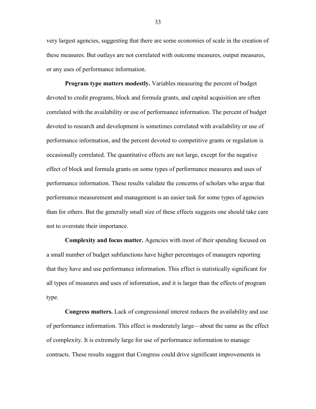very largest agencies, suggesting that there are some economies of scale in the creation of these measures. But outlays are not correlated with outcome measures, output measures, or any uses of performance information.

**Program type matters modestly.** Variables measuring the percent of budget devoted to credit programs, block and formula grants, and capital acquisition are often correlated with the availability or use of performance information. The percent of budget devoted to research and development is sometimes correlated with availability or use of performance information, and the percent devoted to competitive grants or regulation is occasionally correlated. The quantitative effects are not large, except for the negative effect of block and formula grants on some types of performance measures and uses of performance information. These results validate the concerns of scholars who argue that performance measurement and management is an easier task for some types of agencies than for others. But the generally small size of these effects suggests one should take care not to overstate their importance.

**Complexity and focus matter.** Agencies with most of their spending focused on a small number of budget subfunctions have higher percentages of managers reporting that they have and use performance information. This effect is statistically significant for all types of measures and uses of information, and it is larger than the effects of program type.

**Congress matters.** Lack of congressional interest reduces the availability and use of performance information. This effect is moderately large—about the same as the effect of complexity. It is extremely large for use of performance information to manage contracts. These results suggest that Congress could drive significant improvements in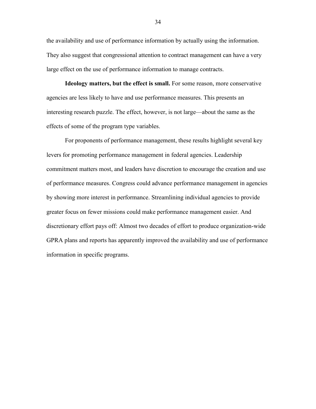the availability and use of performance information by actually using the information. They also suggest that congressional attention to contract management can have a very large effect on the use of performance information to manage contracts.

**Ideology matters, but the effect is small.** For some reason, more conservative agencies are less likely to have and use performance measures. This presents an interesting research puzzle. The effect, however, is not large—about the same as the effects of some of the program type variables.

For proponents of performance management, these results highlight several key levers for promoting performance management in federal agencies. Leadership commitment matters most, and leaders have discretion to encourage the creation and use of performance measures. Congress could advance performance management in agencies by showing more interest in performance. Streamlining individual agencies to provide greater focus on fewer missions could make performance management easier. And discretionary effort pays off: Almost two decades of effort to produce organization-wide GPRA plans and reports has apparently improved the availability and use of performance information in specific programs.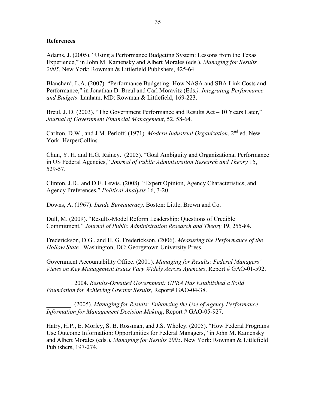#### **References**

Adams, J. (2005). "Using a Performance Budgeting System: Lessons from the Texas Experience,‖ in John M. Kamensky and Albert Morales (eds.), *Managing for Results 2005*. New York: Rowman & Littlefield Publishers, 425-64.

Blanchard, L.A. (2007). "Performance Budgeting: How NASA and SBA Link Costs and Performance," in Jonathan D. Breul and Carl Moravitz (Eds.), *Integrating Performance and Budgets*. Lanham, MD: Rowman & Littlefield, 169-223.

Breul, J. D. (2003). "The Government Performance and Results Act  $-10$  Years Later," *Journal of Government Financial Management*, 52, 58-64.

Carlton, D.W., and J.M. Perloff. (1971). *Modern Industrial Organization*, 2nd ed. New York: HarperCollins.

Chun, Y. H. and H.G. Rainey. (2005). "Goal Ambiguity and Organizational Performance in US Federal Agencies,‖ *Journal of Public Administration Research and Theory* 15, 529-57.

Clinton, J.D., and D.E. Lewis. (2008). "Expert Opinion, Agency Characteristics, and Agency Preferences," *Political Analysis* 16, 3-20.

Downs, A. (1967). *Inside Bureaucracy*. Boston: Little, Brown and Co.

Dull, M. (2009). "Results-Model Reform Leadership: Questions of Credible Commitment,‖ *Journal of Public Administration Research and Theory* 19, 255-84.

Frederickson, D.G., and H. G. Frederickson. (2006). *Measuring the Performance of the Hollow State.* Washington, DC: Georgetown University Press.

Government Accountability Office. (2001). *Managing for Results: Federal Managers' Views on Key Management Issues Vary Widely Across Agencies*, Report # GAO-01-592.

\_\_\_\_\_\_\_\_. 2004. *Results-Oriented Government: GPRA Has Established a Solid Foundation for Achieving Greater Results,* Report# GAO-04-38.

\_\_\_\_\_\_\_\_. (2005). *Managing for Results: Enhancing the Use of Agency Performance Information for Management Decision Making*, Report # GAO-05-927.

Hatry, H.P., E. Morley, S. B. Rossman, and J.S. Wholey. (2005). "How Federal Programs Use Outcome Information: Opportunities for Federal Managers," in John M. Kamensky and Albert Morales (eds.), *Managing for Results 2005*. New York: Rowman & Littlefield Publishers, 197-274.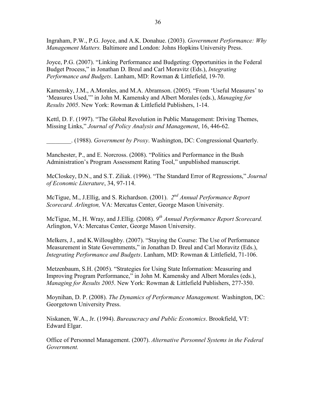Ingraham, P.W., P.G. Joyce, and A.K. Donahue. (2003). *Government Performance: Why Management Matters.* Baltimore and London: Johns Hopkins University Press.

Joyce, P.G. (2007). "Linking Performance and Budgeting: Opportunities in the Federal Budget Process," in Jonathan D. Breul and Carl Moravitz (Eds.), *Integrating Performance and Budgets*. Lanham, MD: Rowman & Littlefield, 19-70.

Kamensky, J.M., A.Morales, and M.A. Abramson. (2005). "From 'Useful Measures' to 'Measures Used," in John M. Kamensky and Albert Morales (eds.), *Managing for Results 2005*. New York: Rowman & Littlefield Publishers, 1-14.

Kettl, D. F. (1997). "The Global Revolution in Public Management: Driving Themes, Missing Links,‖ *Journal of Policy Analysis and Management*, 16, 446-62.

\_\_\_\_\_\_\_\_. (1988). *Government by Proxy*. Washington, DC: Congressional Quarterly.

Manchester, P., and E. Norcross. (2008). "Politics and Performance in the Bush Administration's Program Assessment Rating Tool," unpublished manuscript.

McCloskey, D.N., and S.T. Ziliak. (1996). "The Standard Error of Regressions," *Journal of Economic Literature*, 34, 97-114.

McTigue, M., J.Ellig, and S. Richardson. (2001). 2<sup>nd</sup> Annual Performance Report *Scorecard. Arlington,* VA: Mercatus Center, George Mason University.

McTigue, M., H. Wray, and J.Ellig. (2008). *9 th Annual Performance Report Scorecard.*  Arlington, VA: Mercatus Center, George Mason University.

Melkers, J., and K. Willoughby. (2007). "Staying the Course: The Use of Performance Measurement in State Governments," in Jonathan D. Breul and Carl Moravitz (Eds.), *Integrating Performance and Budgets*. Lanham, MD: Rowman & Littlefield, 71-106.

Metzenbaum, S.H. (2005). "Strategies for Using State Information: Measuring and Improving Program Performance," in John M. Kamensky and Albert Morales (eds.), *Managing for Results 2005*. New York: Rowman & Littlefield Publishers, 277-350.

Moynihan, D. P. (2008). *The Dynamics of Performance Management.* Washington, DC: Georgetown University Press.

Niskanen, W.A., Jr. (1994). *Bureaucracy and Public Economics*. Brookfield, VT: Edward Elgar.

Office of Personnel Management. (2007). *Alternative Personnel Systems in the Federal Government.*